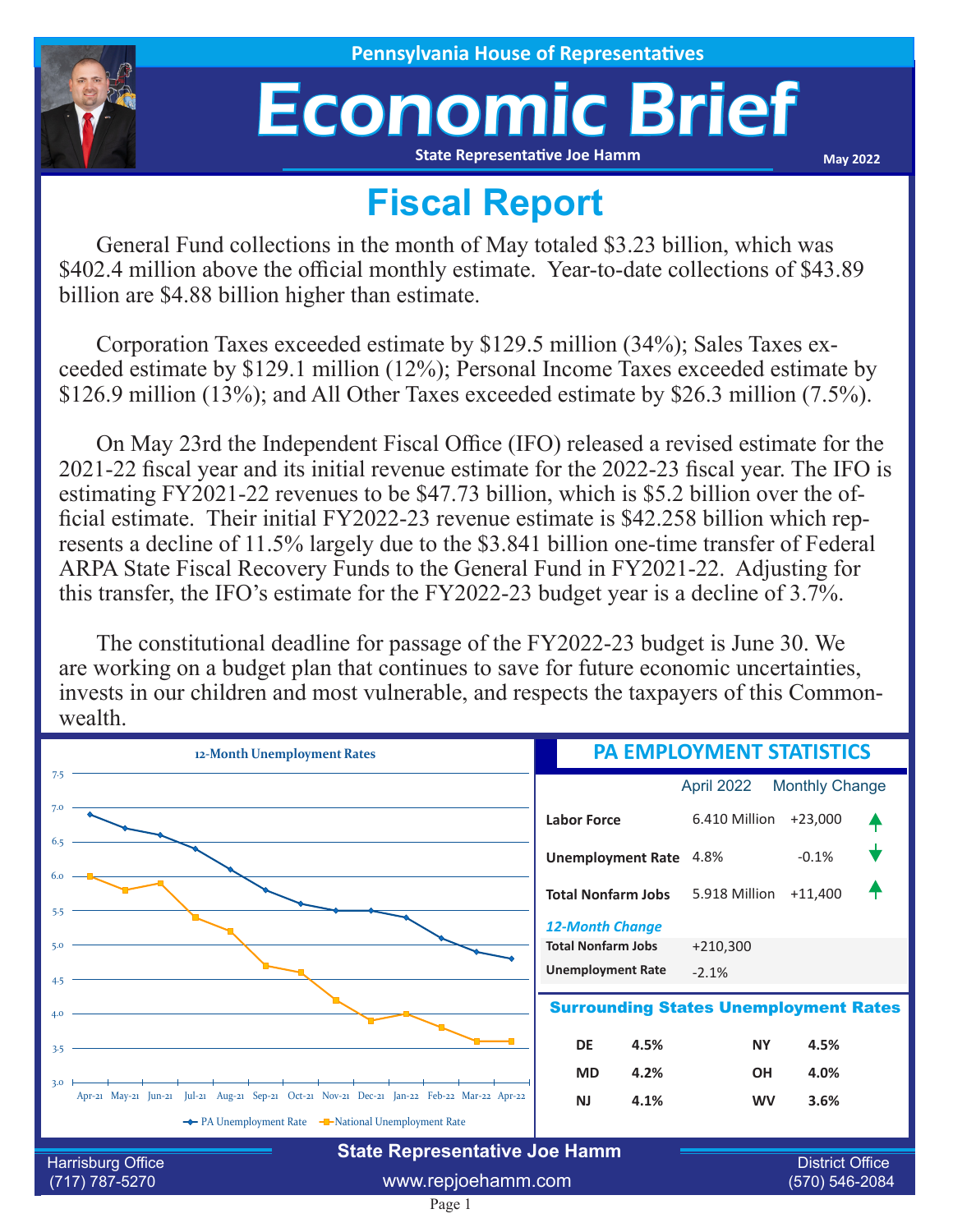

## Economic Brief **State Representative Joe Hamm**

**May 2022**

## **Fiscal Report**

General Fund collections in the month of May totaled \$3.23 billion, which was \$402.4 million above the official monthly estimate. Year-to-date collections of \$43.89 billion are \$4.88 billion higher than estimate.

Corporation Taxes exceeded estimate by \$129.5 million (34%); Sales Taxes exceeded estimate by \$129.1 million (12%); Personal Income Taxes exceeded estimate by \$126.9 million (13%); and All Other Taxes exceeded estimate by \$26.3 million (7.5%).

On May 23rd the Independent Fiscal Office (IFO) released a revised estimate for the 2021-22 fiscal year and its initial revenue estimate for the 2022-23 fiscal year. The IFO is estimating FY2021-22 revenues to be \$47.73 billion, which is \$5.2 billion over the official estimate. Their initial FY2022-23 revenue estimate is \$42.258 billion which represents a decline of 11.5% largely due to the \$3.841 billion one-time transfer of Federal ARPA State Fiscal Recovery Funds to the General Fund in FY2021-22. Adjusting for this transfer, the IFO's estimate for the FY2022-23 budget year is a decline of 3.7%.

The constitutional deadline for passage of the FY2022-23 budget is June 30. We are working on a budget plan that continues to save for future economic uncertainties, invests in our children and most vulnerable, and respects the taxpayers of this Commonwealth.

| 12-Month Unemployment Rates                                                                              | <b>PA EMPLOYMENT STATISTICS</b>                     |                                          |                       |  |
|----------------------------------------------------------------------------------------------------------|-----------------------------------------------------|------------------------------------------|-----------------------|--|
| 7.5                                                                                                      |                                                     | April 2022                               | <b>Monthly Change</b> |  |
| 7.0                                                                                                      | <b>Labor Force</b>                                  | 6.410 Million                            | $+23,000$             |  |
|                                                                                                          | <b>Unemployment Rate</b>                            | 4.8%                                     | $-0.1%$               |  |
| 6.0<br>5.5                                                                                               | <b>Total Nonfarm Jobs</b>                           | 5.918 Million                            | $+11,400$             |  |
| 5.0                                                                                                      | <b>12-Month Change</b><br><b>Total Nonfarm Jobs</b> | $+210,300$                               |                       |  |
| 4.5                                                                                                      | <b>Unemployment Rate</b>                            | $-2.1%$                                  |                       |  |
| 4.0                                                                                                      | <b>Surrounding States Unemployment Rates</b>        |                                          |                       |  |
| 3.5                                                                                                      | <b>DE</b><br>4.5%                                   | <b>NY</b>                                | 4.5%                  |  |
| 3.0                                                                                                      | <b>MD</b><br>4.2%                                   | <b>OH</b>                                | 4.0%                  |  |
| Apr-21 May-21 Jun-21 Jul-21 Aug-21 Sep-21 Oct-21 Nov-21 Dec-21 Jan-22 Feb-22 Mar-22 Apr-22               | <b>NJ</b><br>4.1%                                   | <b>WV</b>                                | 3.6%                  |  |
| ← PA Unemployment Rate – National Unemployment Rate                                                      |                                                     |                                          |                       |  |
| <b>State Representative Joe Hamm</b><br><b>Harrisburg Office</b><br>www.repjoehamm.com<br>(717) 787-5270 |                                                     | <b>District Office</b><br>(570) 546-2084 |                       |  |